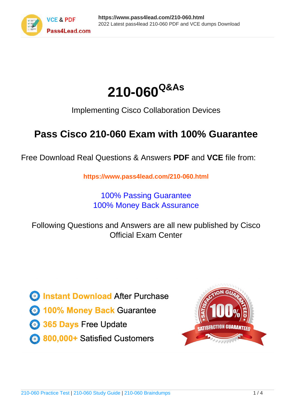



Implementing Cisco Collaboration Devices

# **Pass Cisco 210-060 Exam with 100% Guarantee**

Free Download Real Questions & Answers **PDF** and **VCE** file from:

**https://www.pass4lead.com/210-060.html**

100% Passing Guarantee 100% Money Back Assurance

Following Questions and Answers are all new published by Cisco Official Exam Center

**C** Instant Download After Purchase

**83 100% Money Back Guarantee** 

- 365 Days Free Update
- 800,000+ Satisfied Customers

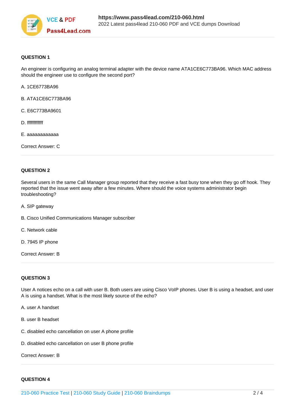

## **QUESTION 1**

An engineer is configuring an analog terminal adapter with the device name ATA1CE6C773BA96. Which MAC address should the engineer use to configure the second port?

- A. 1CE6773BA96
- B. ATA1CE6C773BA96
- C. E6C773BA9601
- D. ffffffffffff
- E. aaaaaaaaaaaa

Correct Answer: C

### **QUESTION 2**

Several users in the same Call Manager group reported that they receive a fast busy tone when they go off hook. They reported that the issue went away after a few minutes. Where should the voice systems administrator begin troubleshooting?

- A. SIP gateway
- B. Cisco Unified Communications Manager subscriber
- C. Network cable
- D. 7945 IP phone

Correct Answer: B

### **QUESTION 3**

User A notices echo on a call with user B. Both users are using Cisco VoIP phones. User B is using a headset, and user A is using a handset. What is the most likely source of the echo?

- A. user A handset
- B. user B headset
- C. disabled echo cancellation on user A phone profile
- D. disabled echo cancellation on user B phone profile

Correct Answer: B

### **QUESTION 4**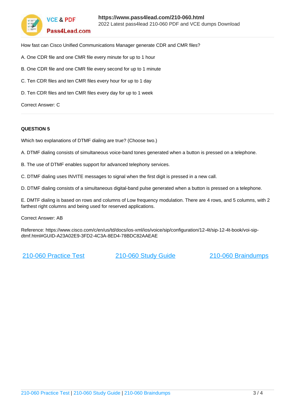

How fast can Cisco Unified Communications Manager generate CDR and CMR files?

- A. One CDR file and one CMR file every minute for up to 1 hour
- B. One CDR file and one CMR file every second for up to 1 minute
- C. Ten CDR files and ten CMR files every hour for up to 1 day
- D. Ten CDR files and ten CMR files every day for up to 1 week

Correct Answer: C

### **QUESTION 5**

Which two explanations of DTMF dialing are true? (Choose two.)

A. DTMF dialing consists of simultaneous voice-band tones generated when a button is pressed on a telephone.

- B. The use of DTMF enables support for advanced telephony services.
- C. DTMF dialing uses INVITE messages to signal when the first digit is pressed in a new call.

D. DTMF dialing consists of a simultaneous digital-band pulse generated when a button is pressed on a telephone.

E. DMTF dialing is based on rows and columns of Low frequency modulation. There are 4 rows, and 5 columns, with 2 farthest right columns and being used for reserved applications.

Correct Answer: AB

Reference: https://www.cisco.com/c/en/us/td/docs/ios-xml/ios/voice/sip/configuration/12-4t/sip-12-4t-book/voi-sipdtmf.html#GUID-A23A02E9-3FD2-4C3A-8ED4-78BDC82AAEAE

[210-060 Practice Test](https://www.pass4lead.com/210-060.html) [210-060 Study Guide](https://www.pass4lead.com/210-060.html) [210-060 Braindumps](https://www.pass4lead.com/210-060.html)